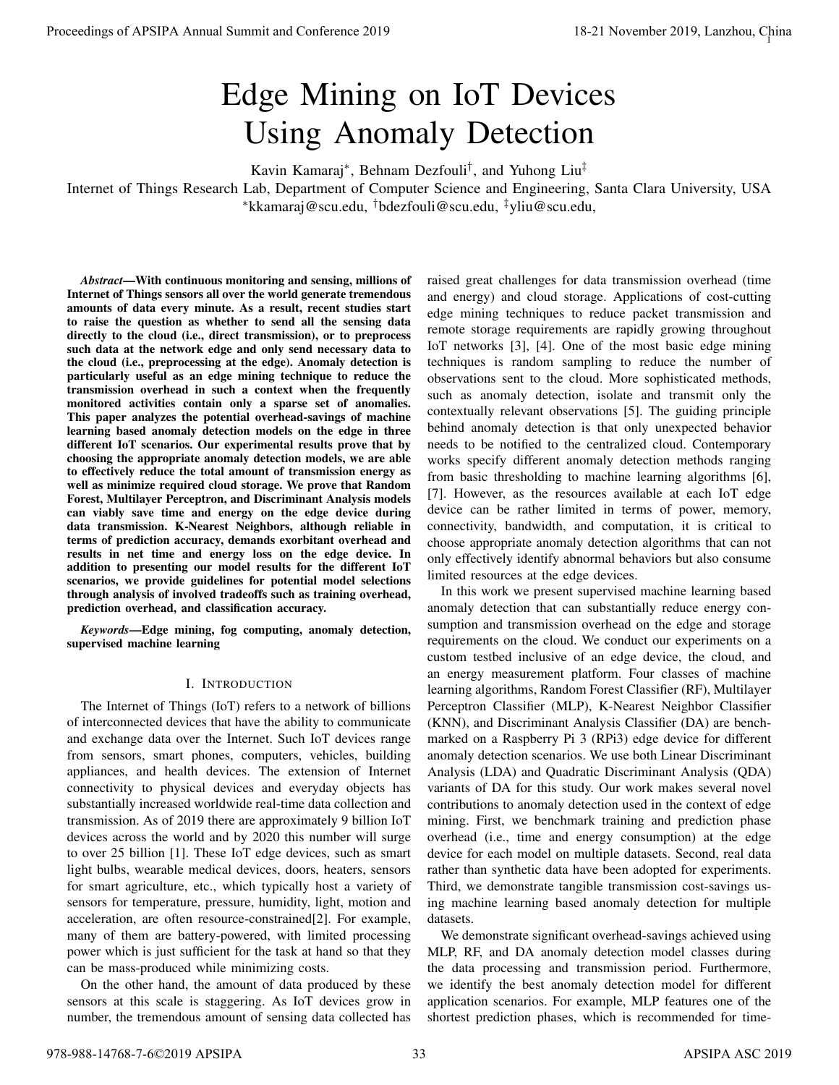# Edge Mining on IoT Devices Using Anomaly Detection

Kavin Kamaraj<sup>∗</sup> , Behnam Dezfouli† , and Yuhong Liu‡

Internet of Things Research Lab, Department of Computer Science and Engineering, Santa Clara University, USA <sup>∗</sup>kkamaraj@scu.edu, †bdezfouli@scu.edu, ‡yliu@scu.edu,

*Abstract*—With continuous monitoring and sensing, millions of Internet of Things sensors all over the world generate tremendous amounts of data every minute. As a result, recent studies start to raise the question as whether to send all the sensing data directly to the cloud (i.e., direct transmission), or to preprocess such data at the network edge and only send necessary data to the cloud (i.e., preprocessing at the edge). Anomaly detection is particularly useful as an edge mining technique to reduce the transmission overhead in such a context when the frequently monitored activities contain only a sparse set of anomalies. This paper analyzes the potential overhead-savings of machine learning based anomaly detection models on the edge in three different IoT scenarios. Our experimental results prove that by choosing the appropriate anomaly detection models, we are able to effectively reduce the total amount of transmission energy as well as minimize required cloud storage. We prove that Random Forest, Multilayer Perceptron, and Discriminant Analysis models can viably save time and energy on the edge device during data transmission. K-Nearest Neighbors, although reliable in terms of prediction accuracy, demands exorbitant overhead and results in net time and energy loss on the edge device. In addition to presenting our model results for the different IoT scenarios, we provide guidelines for potential model selections through analysis of involved tradeoffs such as training overhead, prediction overhead, and classification accuracy.

*Keywords*—Edge mining, fog computing, anomaly detection, supervised machine learning

## I. INTRODUCTION

The Internet of Things (IoT) refers to a network of billions of interconnected devices that have the ability to communicate and exchange data over the Internet. Such IoT devices range from sensors, smart phones, computers, vehicles, building appliances, and health devices. The extension of Internet connectivity to physical devices and everyday objects has substantially increased worldwide real-time data collection and transmission. As of 2019 there are approximately 9 billion IoT devices across the world and by 2020 this number will surge to over 25 billion [1]. These IoT edge devices, such as smart light bulbs, wearable medical devices, doors, heaters, sensors for smart agriculture, etc., which typically host a variety of sensors for temperature, pressure, humidity, light, motion and acceleration, are often resource-constrained[2]. For example, many of them are battery-powered, with limited processing power which is just sufficient for the task at hand so that they can be mass-produced while minimizing costs.

On the other hand, the amount of data produced by these sensors at this scale is staggering. As IoT devices grow in number, the tremendous amount of sensing data collected has raised great challenges for data transmission overhead (time and energy) and cloud storage. Applications of cost-cutting edge mining techniques to reduce packet transmission and remote storage requirements are rapidly growing throughout IoT networks [3], [4]. One of the most basic edge mining techniques is random sampling to reduce the number of observations sent to the cloud. More sophisticated methods, such as anomaly detection, isolate and transmit only the contextually relevant observations [5]. The guiding principle behind anomaly detection is that only unexpected behavior needs to be notified to the centralized cloud. Contemporary works specify different anomaly detection methods ranging from basic thresholding to machine learning algorithms [6], [7]. However, as the resources available at each IoT edge device can be rather limited in terms of power, memory, connectivity, bandwidth, and computation, it is critical to choose appropriate anomaly detection algorithms that can not only effectively identify abnormal behaviors but also consume limited resources at the edge devices.

In this work we present supervised machine learning based anomaly detection that can substantially reduce energy consumption and transmission overhead on the edge and storage requirements on the cloud. We conduct our experiments on a custom testbed inclusive of an edge device, the cloud, and an energy measurement platform. Four classes of machine learning algorithms, Random Forest Classifier (RF), Multilayer Perceptron Classifier (MLP), K-Nearest Neighbor Classifier (KNN), and Discriminant Analysis Classifier (DA) are benchmarked on a Raspberry Pi 3 (RPi3) edge device for different anomaly detection scenarios. We use both Linear Discriminant Analysis (LDA) and Quadratic Discriminant Analysis (QDA) variants of DA for this study. Our work makes several novel contributions to anomaly detection used in the context of edge mining. First, we benchmark training and prediction phase overhead (i.e., time and energy consumption) at the edge device for each model on multiple datasets. Second, real data rather than synthetic data have been adopted for experiments. Third, we demonstrate tangible transmission cost-savings using machine learning based anomaly detection for multiple datasets. **Process of APSIPA around Summit and Conference 2019**<br> **Edge Minings on ToT Devices** 1812 and conference 2019, the conference 2019 and Conference 2019, the conference 2019, the conference 2019, the conference 2019 and Con

We demonstrate significant overhead-savings achieved using MLP, RF, and DA anomaly detection model classes during the data processing and transmission period. Furthermore, we identify the best anomaly detection model for different application scenarios. For example, MLP features one of the shortest prediction phases, which is recommended for time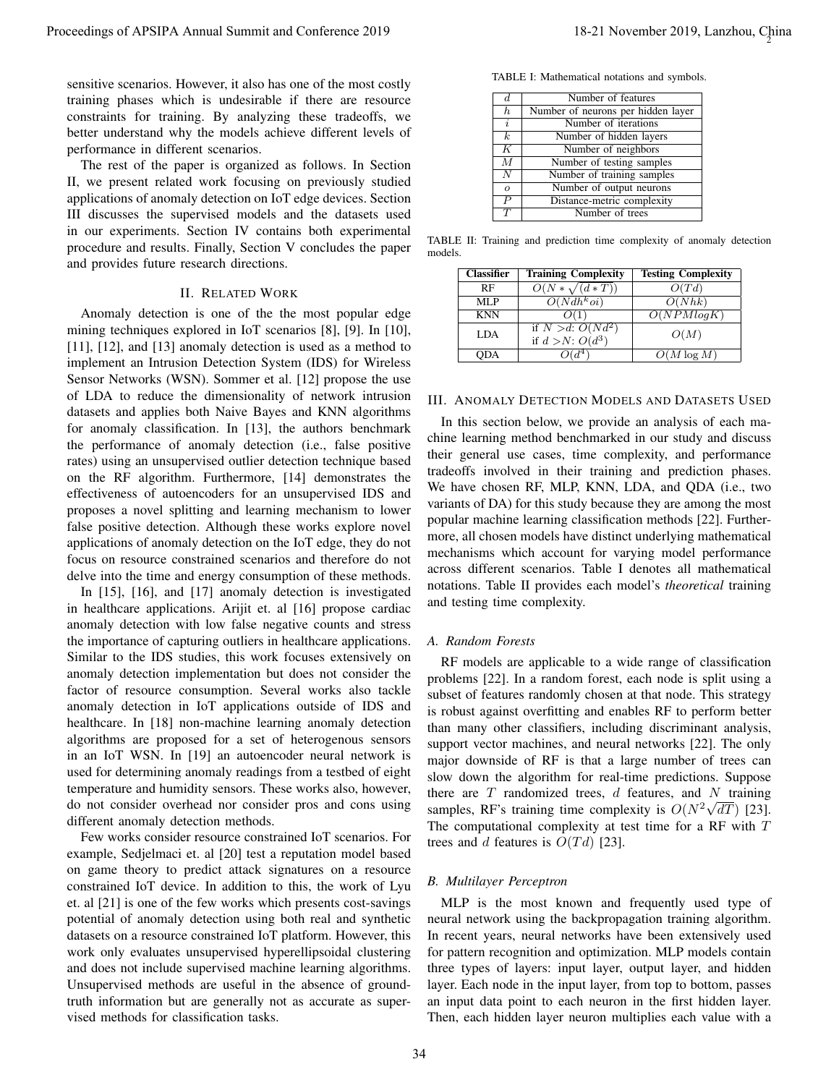sensitive scenarios. However, it also has one of the most costly training phases which is undesirable if there are resource constraints for training. By analyzing these tradeoffs, we better understand why the models achieve different levels of performance in different scenarios.

The rest of the paper is organized as follows. In Section II, we present related work focusing on previously studied applications of anomaly detection on IoT edge devices. Section III discusses the supervised models and the datasets used in our experiments. Section IV contains both experimental procedure and results. Finally, Section V concludes the paper and provides future research directions.

### II. RELATED WORK

Anomaly detection is one of the the most popular edge mining techniques explored in IoT scenarios [8], [9]. In [10], [11], [12], and [13] anomaly detection is used as a method to implement an Intrusion Detection System (IDS) for Wireless Sensor Networks (WSN). Sommer et al. [12] propose the use of LDA to reduce the dimensionality of network intrusion datasets and applies both Naive Bayes and KNN algorithms for anomaly classification. In [13], the authors benchmark the performance of anomaly detection (i.e., false positive rates) using an unsupervised outlier detection technique based on the RF algorithm. Furthermore, [14] demonstrates the effectiveness of autoencoders for an unsupervised IDS and proposes a novel splitting and learning mechanism to lower false positive detection. Although these works explore novel applications of anomaly detection on the IoT edge, they do not focus on resource constrained scenarios and therefore do not delve into the time and energy consumption of these methods. Proceeding of APSIPA Annual Summit and non-zero (19)<br>
summit and conference and conference 2019, the state of the state of the state of the state of the state of the state of the state of the state of the state of the sta

In [15], [16], and [17] anomaly detection is investigated in healthcare applications. Arijit et. al [16] propose cardiac anomaly detection with low false negative counts and stress the importance of capturing outliers in healthcare applications. Similar to the IDS studies, this work focuses extensively on anomaly detection implementation but does not consider the factor of resource consumption. Several works also tackle anomaly detection in IoT applications outside of IDS and healthcare. In [18] non-machine learning anomaly detection algorithms are proposed for a set of heterogenous sensors in an IoT WSN. In [19] an autoencoder neural network is used for determining anomaly readings from a testbed of eight temperature and humidity sensors. These works also, however, do not consider overhead nor consider pros and cons using different anomaly detection methods.

Few works consider resource constrained IoT scenarios. For example, Sedjelmaci et. al [20] test a reputation model based on game theory to predict attack signatures on a resource constrained IoT device. In addition to this, the work of Lyu et. al [21] is one of the few works which presents cost-savings potential of anomaly detection using both real and synthetic datasets on a resource constrained IoT platform. However, this work only evaluates unsupervised hyperellipsoidal clustering and does not include supervised machine learning algorithms. Unsupervised methods are useful in the absence of groundtruth information but are generally not as accurate as supervised methods for classification tasks.

TABLE I: Mathematical notations and symbols.

| d.               | Number of features                 |
|------------------|------------------------------------|
| $\boldsymbol{h}$ | Number of neurons per hidden layer |
| $\dot{i}$        | Number of iterations               |
| $\boldsymbol{k}$ | Number of hidden layers            |
| $\overline{K}$   | Number of neighbors                |
| $\overline{M}$   | Number of testing samples          |
| N                | Number of training samples         |
| $\Omega$         | Number of output neurons           |
| $\overline{P}$   | Distance-metric complexity         |
| T                | Number of trees                    |

TABLE II: Training and prediction time complexity of anomaly detection models.

| <b>Classifier</b> | <b>Training Complexity</b>                      | <b>Testing Complexity</b> |
|-------------------|-------------------------------------------------|---------------------------|
| RF                | $O(N*\sqrt{(d*T)})$                             | O(Td)                     |
| MLP               | $O(Ndh^koi)$                                    | O(Nhk)                    |
| <b>KNN</b>        |                                                 | $\overline{O(NPMlogK)}$   |
| LDA               | if $N > d$ : $O(Nd^2)$<br>if $d > N$ : $O(d^3)$ | O(M)                      |
| ODA               |                                                 | $O(M \log M)$             |

#### III. ANOMALY DETECTION MODELS AND DATASETS USED

In this section below, we provide an analysis of each machine learning method benchmarked in our study and discuss their general use cases, time complexity, and performance tradeoffs involved in their training and prediction phases. We have chosen RF, MLP, KNN, LDA, and QDA (i.e., two variants of DA) for this study because they are among the most popular machine learning classification methods [22]. Furthermore, all chosen models have distinct underlying mathematical mechanisms which account for varying model performance across different scenarios. Table I denotes all mathematical notations. Table II provides each model's *theoretical* training and testing time complexity.

#### *A. Random Forests*

RF models are applicable to a wide range of classification problems [22]. In a random forest, each node is split using a subset of features randomly chosen at that node. This strategy is robust against overfitting and enables RF to perform better than many other classifiers, including discriminant analysis, support vector machines, and neural networks [22]. The only major downside of RF is that a large number of trees can slow down the algorithm for real-time predictions. Suppose there are T randomized trees, d features, and N training samples, RF's training time complexity is  $O(N^2\sqrt{dT})$  [23]. The computational complexity at test time for a RF with  $T$ trees and d features is  $O(Td)$  [23].

#### *B. Multilayer Perceptron*

MLP is the most known and frequently used type of neural network using the backpropagation training algorithm. In recent years, neural networks have been extensively used for pattern recognition and optimization. MLP models contain three types of layers: input layer, output layer, and hidden layer. Each node in the input layer, from top to bottom, passes an input data point to each neuron in the first hidden layer. Then, each hidden layer neuron multiplies each value with a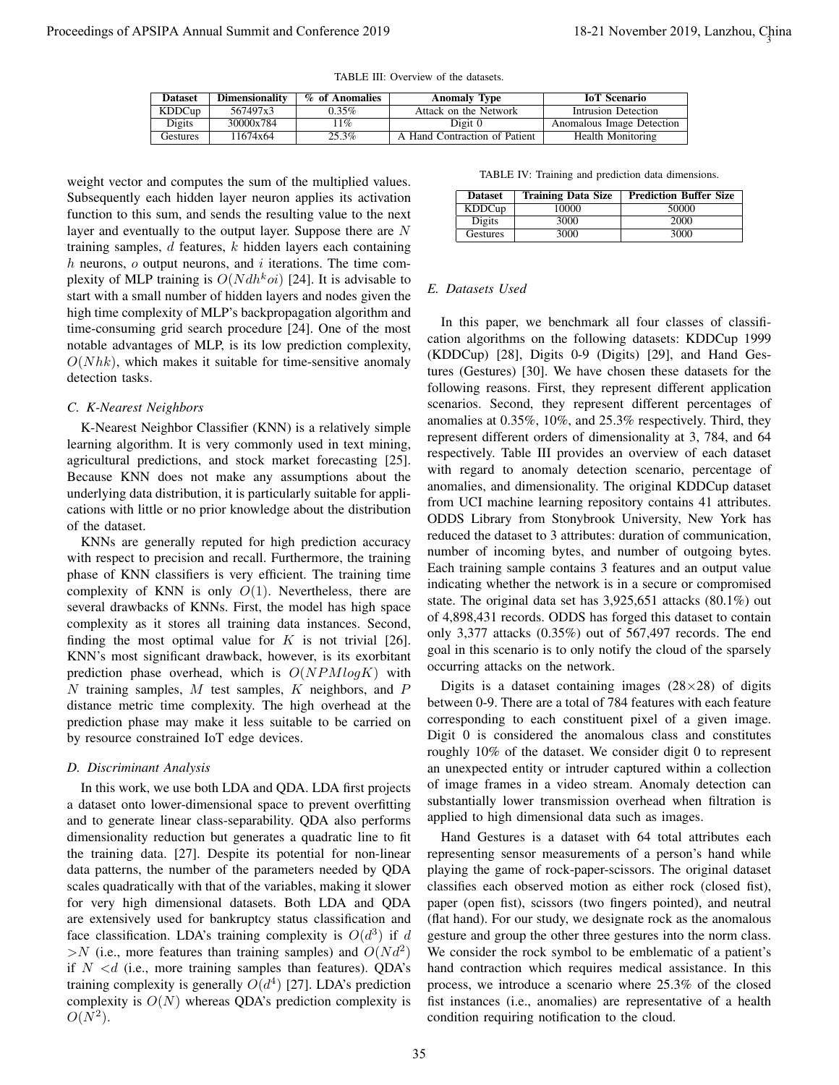TABLE III: Overview of the datasets.

| <b>Dataset</b> | <b>Dimensionality</b> | % of Anomalies | <b>Anomaly Type</b>           | <b>IoT</b> Scenario       |
|----------------|-----------------------|----------------|-------------------------------|---------------------------|
| <b>KDDCup</b>  | 567497x3              | $0.35\%$       | Attack on the Network         | Intrusion Detection       |
| Digits         | 30000x784             | $11\%$         | Digit 0                       | Anomalous Image Detection |
| Gestures       | 11674x64              | $25.3\%$       | A Hand Contraction of Patient | Health Monitoring         |

weight vector and computes the sum of the multiplied values. Subsequently each hidden layer neuron applies its activation function to this sum, and sends the resulting value to the next layer and eventually to the output layer. Suppose there are N training samples,  $d$  features,  $k$  hidden layers each containing  $h$  neurons,  $o$  output neurons, and  $i$  iterations. The time complexity of MLP training is  $O(N dh^k o i)$  [24]. It is advisable to start with a small number of hidden layers and nodes given the high time complexity of MLP's backpropagation algorithm and time-consuming grid search procedure [24]. One of the most notable advantages of MLP, is its low prediction complexity,  $O(Nhk)$ , which makes it suitable for time-sensitive anomaly detection tasks.

#### *C. K-Nearest Neighbors*

K-Nearest Neighbor Classifier (KNN) is a relatively simple learning algorithm. It is very commonly used in text mining, agricultural predictions, and stock market forecasting [25]. Because KNN does not make any assumptions about the underlying data distribution, it is particularly suitable for applications with little or no prior knowledge about the distribution of the dataset.

KNNs are generally reputed for high prediction accuracy with respect to precision and recall. Furthermore, the training phase of KNN classifiers is very efficient. The training time complexity of KNN is only  $O(1)$ . Nevertheless, there are several drawbacks of KNNs. First, the model has high space complexity as it stores all training data instances. Second, finding the most optimal value for  $K$  is not trivial [26]. KNN's most significant drawback, however, is its exorbitant prediction phase overhead, which is  $O(NPMlogK)$  with N training samples,  $M$  test samples,  $K$  neighbors, and  $P$ distance metric time complexity. The high overhead at the prediction phase may make it less suitable to be carried on by resource constrained IoT edge devices.

#### *D. Discriminant Analysis*

In this work, we use both LDA and QDA. LDA first projects a dataset onto lower-dimensional space to prevent overfitting and to generate linear class-separability. QDA also performs dimensionality reduction but generates a quadratic line to fit the training data. [27]. Despite its potential for non-linear data patterns, the number of the parameters needed by QDA scales quadratically with that of the variables, making it slower for very high dimensional datasets. Both LDA and QDA are extensively used for bankruptcy status classification and face classification. LDA's training complexity is  $O(d^3)$  if d >N (i.e., more features than training samples) and  $O(Nd^2)$ if  $N \lt d$  (i.e., more training samples than features). QDA's training complexity is generally  $O(d^4)$  [27]. LDA's prediction complexity is  $O(N)$  whereas QDA's prediction complexity is  $O(N^2)$ .

TABLE IV: Training and prediction data dimensions.

| <b>Dataset</b> | <b>Training Data Size</b> | <b>Prediction Buffer Size</b> |
|----------------|---------------------------|-------------------------------|
| KDDCup         | 10000                     | 50000                         |
| Digits         | 3000                      | 2000                          |
| Gestures       | 3000                      | 3000                          |

#### *E. Datasets Used*

In this paper, we benchmark all four classes of classification algorithms on the following datasets: KDDCup 1999 (KDDCup) [28], Digits 0-9 (Digits) [29], and Hand Gestures (Gestures) [30]. We have chosen these datasets for the following reasons. First, they represent different application scenarios. Second, they represent different percentages of anomalies at 0.35%, 10%, and 25.3% respectively. Third, they represent different orders of dimensionality at 3, 784, and 64 respectively. Table III provides an overview of each dataset with regard to anomaly detection scenario, percentage of anomalies, and dimensionality. The original KDDCup dataset from UCI machine learning repository contains 41 attributes. ODDS Library from Stonybrook University, New York has reduced the dataset to 3 attributes: duration of communication, number of incoming bytes, and number of outgoing bytes. Each training sample contains 3 features and an output value indicating whether the network is in a secure or compromised state. The original data set has 3,925,651 attacks (80.1%) out of 4,898,431 records. ODDS has forged this dataset to contain only 3,377 attacks (0.35%) out of 567,497 records. The end goal in this scenario is to only notify the cloud of the sparsely occurring attacks on the network. Proceed by the second by the second by the second by the second by the second by the second by the second by the second by the second by the second by the second by the second by the second by the second by the second by

Digits is a dataset containing images  $(28\times28)$  of digits between 0-9. There are a total of 784 features with each feature corresponding to each constituent pixel of a given image. Digit 0 is considered the anomalous class and constitutes roughly 10% of the dataset. We consider digit 0 to represent an unexpected entity or intruder captured within a collection of image frames in a video stream. Anomaly detection can substantially lower transmission overhead when filtration is applied to high dimensional data such as images.

Hand Gestures is a dataset with 64 total attributes each representing sensor measurements of a person's hand while playing the game of rock-paper-scissors. The original dataset classifies each observed motion as either rock (closed fist), paper (open fist), scissors (two fingers pointed), and neutral (flat hand). For our study, we designate rock as the anomalous gesture and group the other three gestures into the norm class. We consider the rock symbol to be emblematic of a patient's hand contraction which requires medical assistance. In this process, we introduce a scenario where 25.3% of the closed fist instances (i.e., anomalies) are representative of a health condition requiring notification to the cloud.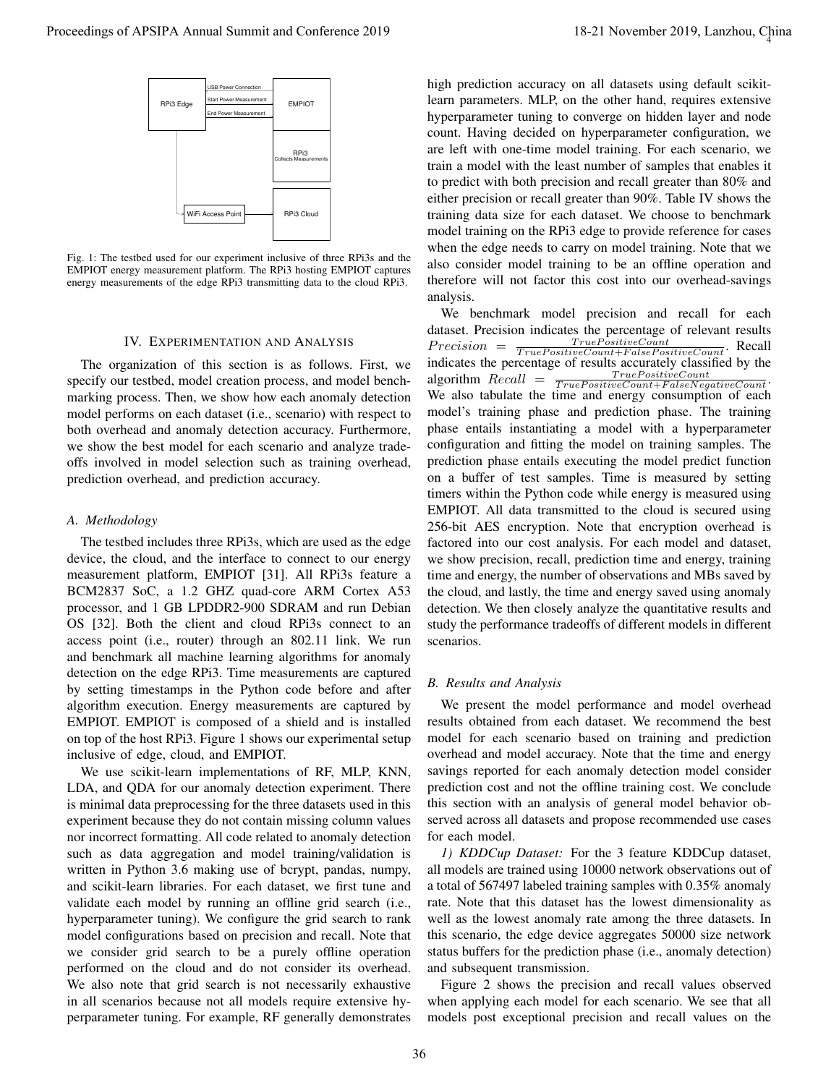

Fig. 1: The testbed used for our experiment inclusive of three RPi3s and the EMPIOT energy measurement platform. The RPi3 hosting EMPIOT captures energy measurements of the edge RPi3 transmitting data to the cloud RPi3.

### IV. EXPERIMENTATION AND ANALYSIS

The organization of this section is as follows. First, we specify our testbed, model creation process, and model benchmarking process. Then, we show how each anomaly detection model performs on each dataset (i.e., scenario) with respect to both overhead and anomaly detection accuracy. Furthermore, we show the best model for each scenario and analyze tradeoffs involved in model selection such as training overhead, prediction overhead, and prediction accuracy.

## *A. Methodology*

The testbed includes three RPi3s, which are used as the edge device, the cloud, and the interface to connect to our energy measurement platform, EMPIOT [31]. All RPi3s feature a BCM2837 SoC, a 1.2 GHZ quad-core ARM Cortex A53 processor, and 1 GB LPDDR2-900 SDRAM and run Debian OS [32]. Both the client and cloud RPi3s connect to an access point (i.e., router) through an 802.11 link. We run and benchmark all machine learning algorithms for anomaly detection on the edge RPi3. Time measurements are captured by setting timestamps in the Python code before and after algorithm execution. Energy measurements are captured by EMPIOT. EMPIOT is composed of a shield and is installed on top of the host RPi3. Figure 1 shows our experimental setup inclusive of edge, cloud, and EMPIOT.

We use scikit-learn implementations of RF, MLP, KNN, LDA, and QDA for our anomaly detection experiment. There is minimal data preprocessing for the three datasets used in this experiment because they do not contain missing column values nor incorrect formatting. All code related to anomaly detection such as data aggregation and model training/validation is written in Python 3.6 making use of bcrypt, pandas, numpy, and scikit-learn libraries. For each dataset, we first tune and validate each model by running an offline grid search (i.e., hyperparameter tuning). We configure the grid search to rank model configurations based on precision and recall. Note that we consider grid search to be a purely offline operation performed on the cloud and do not consider its overhead. We also note that grid search is not necessarily exhaustive in all scenarios because not all models require extensive hyperparameter tuning. For example, RF generally demonstrates high prediction accuracy on all datasets using default scikitlearn parameters. MLP, on the other hand, requires extensive hyperparameter tuning to converge on hidden layer and node count. Having decided on hyperparameter configuration, we are left with one-time model training. For each scenario, we train a model with the least number of samples that enables it to predict with both precision and recall greater than 80% and either precision or recall greater than 90%. Table IV shows the training data size for each dataset. We choose to benchmark model training on the RPi3 edge to provide reference for cases when the edge needs to carry on model training. Note that we also consider model training to be an offline operation and therefore will not factor this cost into our overhead-savings analysis.

We benchmark model precision and recall for each dataset. Precision indicates the percentage of relevant results  $Precision = \frac{TruePositiveCount}{TruePositiveCount + FalsePositiveCount}$ . Recall indicates the percentage of results accurately classified by the algorithm  $Recall = \frac{True PositiveCount}{True PositiveCount + FalseNegativeCount}$ . We also tabulate the time and energy consumption of each model's training phase and prediction phase. The training phase entails instantiating a model with a hyperparameter configuration and fitting the model on training samples. The prediction phase entails executing the model predict function on a buffer of test samples. Time is measured by setting timers within the Python code while energy is measured using EMPIOT. All data transmitted to the cloud is secured using 256-bit AES encryption. Note that encryption overhead is factored into our cost analysis. For each model and dataset, we show precision, recall, prediction time and energy, training time and energy, the number of observations and MBs saved by the cloud, and lastly, the time and energy saved using anomaly detection. We then closely analyze the quantitative results and study the performance tradeoffs of different models in different scenarios. Process of APSIPA Annual Summit and Conference 2019 18-21 November 2019, 19-21 November 2019, and Conference 2019, and Conference 2019, and Conference 2019, and Conference 2019, and Conference 2019, and Conference 2019, a

## *B. Results and Analysis*

We present the model performance and model overhead results obtained from each dataset. We recommend the best model for each scenario based on training and prediction overhead and model accuracy. Note that the time and energy savings reported for each anomaly detection model consider prediction cost and not the offline training cost. We conclude this section with an analysis of general model behavior observed across all datasets and propose recommended use cases for each model.

*1) KDDCup Dataset:* For the 3 feature KDDCup dataset, all models are trained using 10000 network observations out of a total of 567497 labeled training samples with 0.35% anomaly rate. Note that this dataset has the lowest dimensionality as well as the lowest anomaly rate among the three datasets. In this scenario, the edge device aggregates 50000 size network status buffers for the prediction phase (i.e., anomaly detection) and subsequent transmission.

Figure 2 shows the precision and recall values observed when applying each model for each scenario. We see that all models post exceptional precision and recall values on the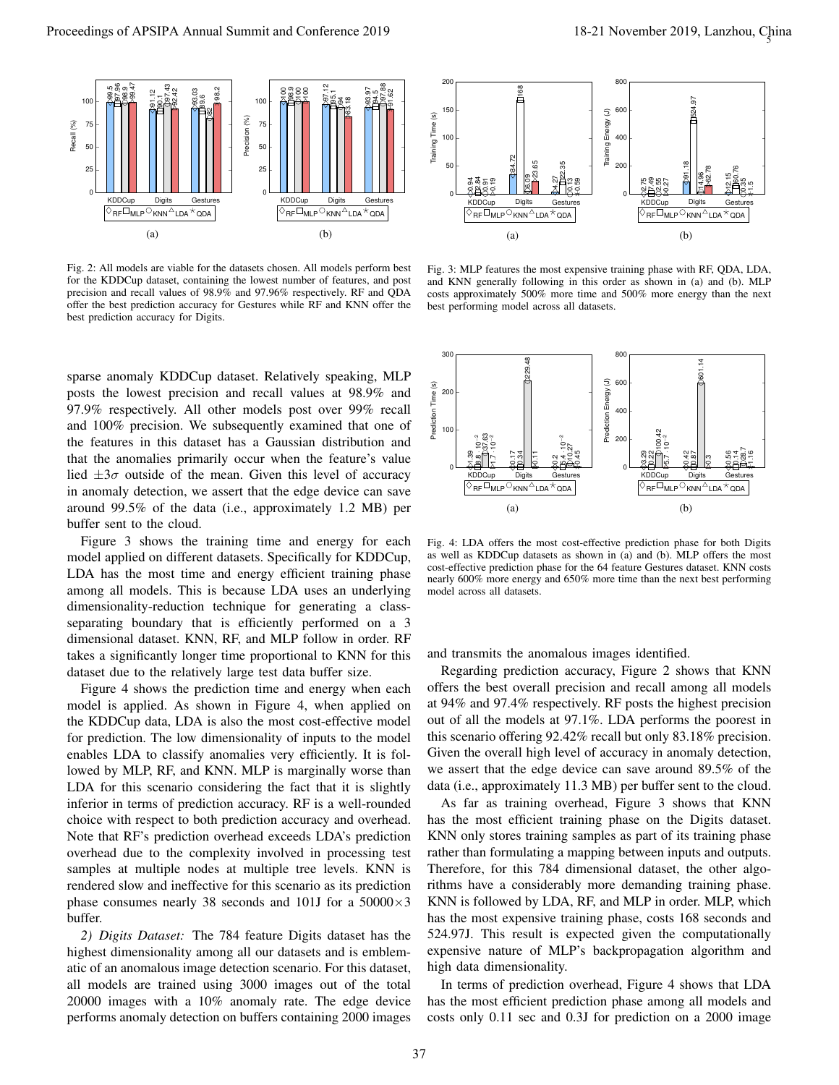

Fig. 2: All models are viable for the datasets chosen. All models perform best for the KDDCup dataset, containing the lowest number of features, and post precision and recall values of 98.9% and 97.96% respectively. RF and QDA offer the best prediction accuracy for Gestures while RF and KNN offer the best prediction accuracy for Digits.

sparse anomaly KDDCup dataset. Relatively speaking, MLP posts the lowest precision and recall values at 98.9% and 97.9% respectively. All other models post over 99% recall and 100% precision. We subsequently examined that one of the features in this dataset has a Gaussian distribution and that the anomalies primarily occur when the feature's value lied  $\pm 3\sigma$  outside of the mean. Given this level of accuracy in anomaly detection, we assert that the edge device can save around 99.5% of the data (i.e., approximately 1.2 MB) per buffer sent to the cloud.

Figure 3 shows the training time and energy for each model applied on different datasets. Specifically for KDDCup, LDA has the most time and energy efficient training phase among all models. This is because LDA uses an underlying dimensionality-reduction technique for generating a classseparating boundary that is efficiently performed on a 3 dimensional dataset. KNN, RF, and MLP follow in order. RF takes a significantly longer time proportional to KNN for this dataset due to the relatively large test data buffer size.

Figure 4 shows the prediction time and energy when each model is applied. As shown in Figure 4, when applied on the KDDCup data, LDA is also the most cost-effective model for prediction. The low dimensionality of inputs to the model enables LDA to classify anomalies very efficiently. It is followed by MLP, RF, and KNN. MLP is marginally worse than LDA for this scenario considering the fact that it is slightly inferior in terms of prediction accuracy. RF is a well-rounded choice with respect to both prediction accuracy and overhead. Note that RF's prediction overhead exceeds LDA's prediction overhead due to the complexity involved in processing test samples at multiple nodes at multiple tree levels. KNN is rendered slow and ineffective for this scenario as its prediction phase consumes nearly 38 seconds and 101J for a  $50000\times3$ buffer. Proceed by the MPT detection of APSIPA Annual Summit and Conference 2019 18-21 November 2019, Lanchar Conference 2019, Lanchar Conference 2019, Lanchar Conference 2019, Lanchar Conference 2019, Lanchar Conference 2019, La

*2) Digits Dataset:* The 784 feature Digits dataset has the highest dimensionality among all our datasets and is emblematic of an anomalous image detection scenario. For this dataset, all models are trained using 3000 images out of the total 20000 images with a 10% anomaly rate. The edge device performs anomaly detection on buffers containing 2000 images



Fig. 3: MLP features the most expensive training phase with RF, QDA, LDA, and KNN generally following in this order as shown in (a) and (b). MLP costs approximately 500% more time and 500% more energy than the next best performing model across all datasets.



Fig. 4: LDA offers the most cost-effective prediction phase for both Digits as well as KDDCup datasets as shown in (a) and (b). MLP offers the most cost-effective prediction phase for the 64 feature Gestures dataset. KNN costs nearly 600% more energy and 650% more time than the next best performing model across all datasets.

and transmits the anomalous images identified.

Regarding prediction accuracy, Figure 2 shows that KNN offers the best overall precision and recall among all models at 94% and 97.4% respectively. RF posts the highest precision out of all the models at 97.1%. LDA performs the poorest in this scenario offering 92.42% recall but only 83.18% precision. Given the overall high level of accuracy in anomaly detection, we assert that the edge device can save around 89.5% of the data (i.e., approximately 11.3 MB) per buffer sent to the cloud.

As far as training overhead, Figure 3 shows that KNN has the most efficient training phase on the Digits dataset. KNN only stores training samples as part of its training phase rather than formulating a mapping between inputs and outputs. Therefore, for this 784 dimensional dataset, the other algorithms have a considerably more demanding training phase. KNN is followed by LDA, RF, and MLP in order. MLP, which has the most expensive training phase, costs 168 seconds and 524.97J. This result is expected given the computationally expensive nature of MLP's backpropagation algorithm and high data dimensionality.

In terms of prediction overhead, Figure 4 shows that LDA has the most efficient prediction phase among all models and costs only 0.11 sec and 0.3J for prediction on a 2000 image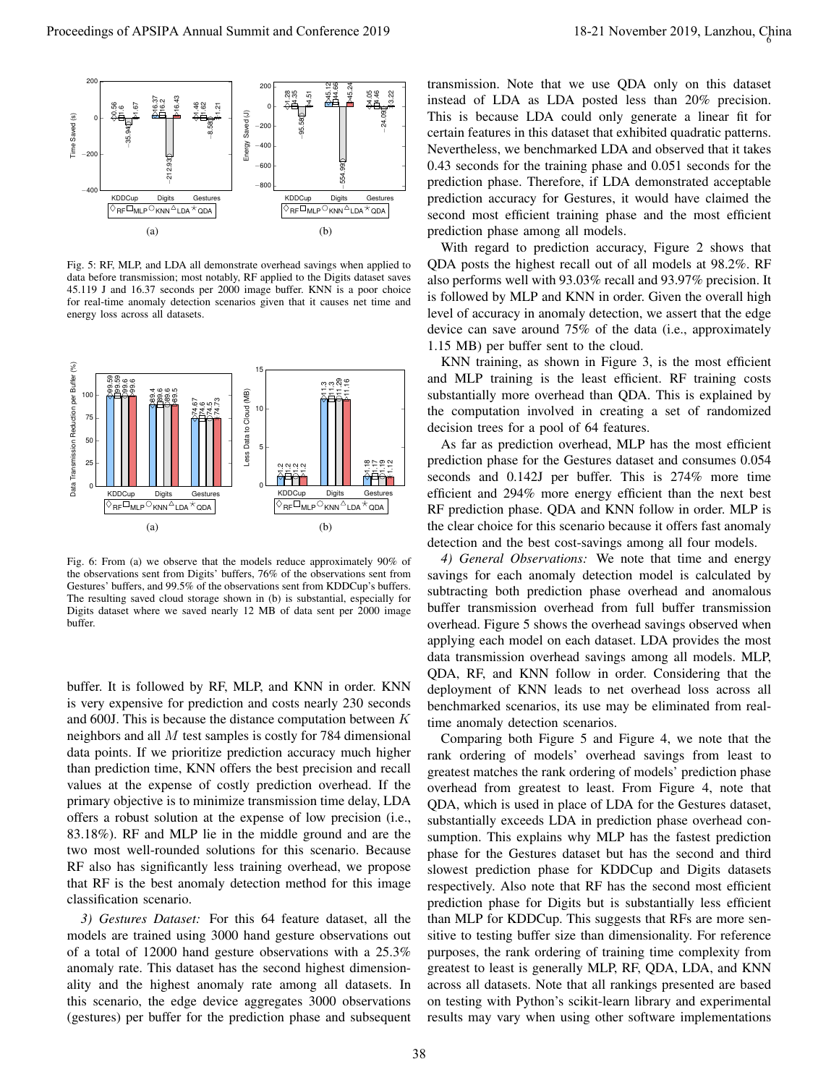

Fig. 5: RF, MLP, and LDA all demonstrate overhead savings when applied to data before transmission; most notably, RF applied to the Digits dataset saves 45.119 J and 16.37 seconds per 2000 image buffer. KNN is a poor choice for real-time anomaly detection scenarios given that it causes net time and energy loss across all datasets.



Fig. 6: From (a) we observe that the models reduce approximately 90% of the observations sent from Digits' buffers, 76% of the observations sent from Gestures' buffers, and 99.5% of the observations sent from KDDCup's buffers. The resulting saved cloud storage shown in (b) is substantial, especially for Digits dataset where we saved nearly 12 MB of data sent per 2000 image buffer.

buffer. It is followed by RF, MLP, and KNN in order. KNN is very expensive for prediction and costs nearly 230 seconds and 600J. This is because the distance computation between K neighbors and all M test samples is costly for 784 dimensional data points. If we prioritize prediction accuracy much higher than prediction time, KNN offers the best precision and recall values at the expense of costly prediction overhead. If the primary objective is to minimize transmission time delay, LDA offers a robust solution at the expense of low precision (i.e., 83.18%). RF and MLP lie in the middle ground and are the two most well-rounded solutions for this scenario. Because RF also has significantly less training overhead, we propose that RF is the best anomaly detection method for this image classification scenario.

*3) Gestures Dataset:* For this 64 feature dataset, all the models are trained using 3000 hand gesture observations out of a total of 12000 hand gesture observations with a 25.3% anomaly rate. This dataset has the second highest dimensionality and the highest anomaly rate among all datasets. In this scenario, the edge device aggregates 3000 observations (gestures) per buffer for the prediction phase and subsequent transmission. Note that we use QDA only on this dataset instead of LDA as LDA posted less than 20% precision. This is because LDA could only generate a linear fit for certain features in this dataset that exhibited quadratic patterns. Nevertheless, we benchmarked LDA and observed that it takes 0.43 seconds for the training phase and 0.051 seconds for the prediction phase. Therefore, if LDA demonstrated acceptable prediction accuracy for Gestures, it would have claimed the second most efficient training phase and the most efficient prediction phase among all models.

With regard to prediction accuracy, Figure 2 shows that QDA posts the highest recall out of all models at 98.2%. RF also performs well with 93.03% recall and 93.97% precision. It is followed by MLP and KNN in order. Given the overall high level of accuracy in anomaly detection, we assert that the edge device can save around 75% of the data (i.e., approximately 1.15 MB) per buffer sent to the cloud.

KNN training, as shown in Figure 3, is the most efficient and MLP training is the least efficient. RF training costs substantially more overhead than QDA. This is explained by the computation involved in creating a set of randomized decision trees for a pool of 64 features.

As far as prediction overhead, MLP has the most efficient prediction phase for the Gestures dataset and consumes 0.054 seconds and 0.142J per buffer. This is 274% more time efficient and 294% more energy efficient than the next best RF prediction phase. QDA and KNN follow in order. MLP is the clear choice for this scenario because it offers fast anomaly detection and the best cost-savings among all four models.

*4) General Observations:* We note that time and energy savings for each anomaly detection model is calculated by subtracting both prediction phase overhead and anomalous buffer transmission overhead from full buffer transmission overhead. Figure 5 shows the overhead savings observed when applying each model on each dataset. LDA provides the most data transmission overhead savings among all models. MLP, QDA, RF, and KNN follow in order. Considering that the deployment of KNN leads to net overhead loss across all benchmarked scenarios, its use may be eliminated from realtime anomaly detection scenarios.

Comparing both Figure 5 and Figure 4, we note that the rank ordering of models' overhead savings from least to greatest matches the rank ordering of models' prediction phase overhead from greatest to least. From Figure 4, note that QDA, which is used in place of LDA for the Gestures dataset, substantially exceeds LDA in prediction phase overhead consumption. This explains why MLP has the fastest prediction phase for the Gestures dataset but has the second and third slowest prediction phase for KDDCup and Digits datasets respectively. Also note that RF has the second most efficient prediction phase for Digits but is substantially less efficient than MLP for KDDCup. This suggests that RFs are more sensitive to testing buffer size than dimensionality. For reference purposes, the rank ordering of training time complexity from greatest to least is generally MLP, RF, QDA, LDA, and KNN across all datasets. Note that all rankings presented are based on testing with Python's scikit-learn library and experimental results may vary when using other software implementations Proceedings  $\frac{1}{2}$ <br>
Proceedings of APSIPA Annual Summit and Conference 2019, Lanzhou and Conference 2019, Lanzhou and Conference 2019, Lanzhou and Conference 2019, Lanzhou and Conference 2019, Lanzhou and Conference 20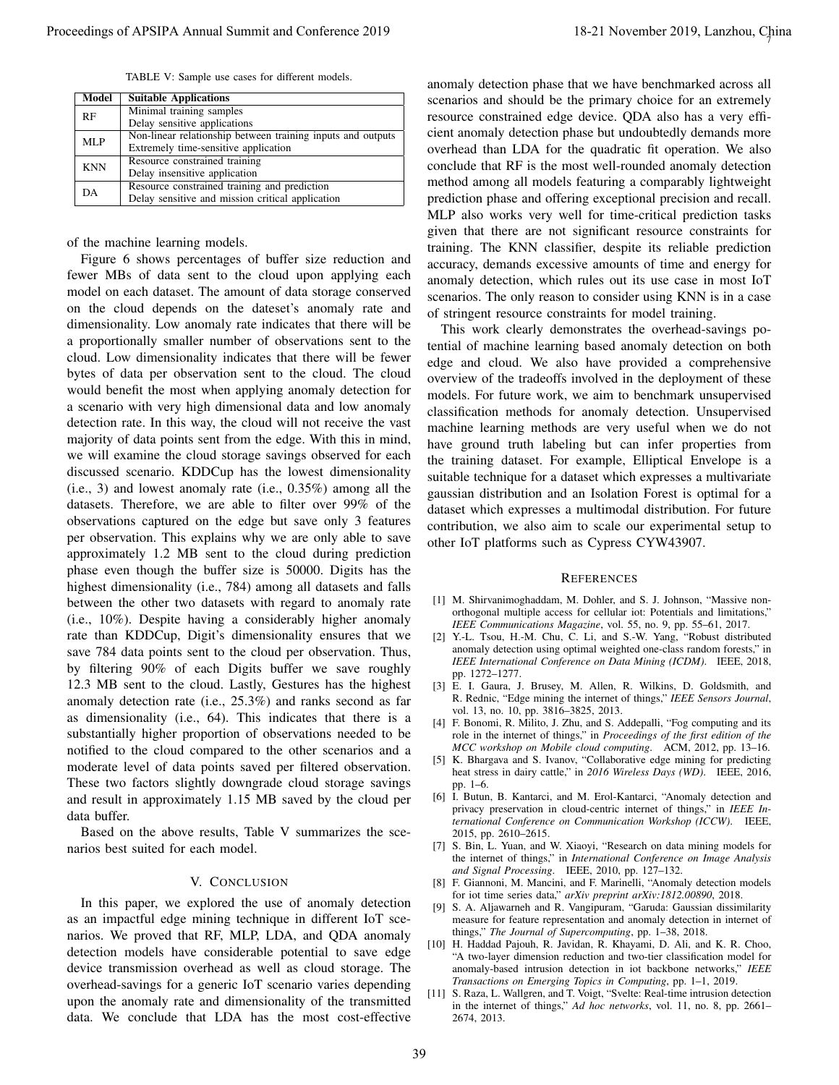TABLE V: Sample use cases for different models.

| Model      | <b>Suitable Applications</b>                                |  |  |
|------------|-------------------------------------------------------------|--|--|
| RF         | Minimal training samples                                    |  |  |
|            | Delay sensitive applications                                |  |  |
| MLP        | Non-linear relationship between training inputs and outputs |  |  |
|            | Extremely time-sensitive application                        |  |  |
| <b>KNN</b> | Resource constrained training                               |  |  |
|            | Delay insensitive application                               |  |  |
| DA         | Resource constrained training and prediction                |  |  |
|            | Delay sensitive and mission critical application            |  |  |

of the machine learning models.

Figure 6 shows percentages of buffer size reduction and fewer MBs of data sent to the cloud upon applying each model on each dataset. The amount of data storage conserved on the cloud depends on the dateset's anomaly rate and dimensionality. Low anomaly rate indicates that there will be a proportionally smaller number of observations sent to the cloud. Low dimensionality indicates that there will be fewer bytes of data per observation sent to the cloud. The cloud would benefit the most when applying anomaly detection for a scenario with very high dimensional data and low anomaly detection rate. In this way, the cloud will not receive the vast majority of data points sent from the edge. With this in mind, we will examine the cloud storage savings observed for each discussed scenario. KDDCup has the lowest dimensionality (i.e., 3) and lowest anomaly rate (i.e., 0.35%) among all the datasets. Therefore, we are able to filter over 99% of the observations captured on the edge but save only 3 features per observation. This explains why we are only able to save approximately 1.2 MB sent to the cloud during prediction phase even though the buffer size is 50000. Digits has the highest dimensionality (i.e., 784) among all datasets and falls between the other two datasets with regard to anomaly rate (i.e., 10%). Despite having a considerably higher anomaly rate than KDDCup, Digit's dimensionality ensures that we save 784 data points sent to the cloud per observation. Thus, by filtering 90% of each Digits buffer we save roughly 12.3 MB sent to the cloud. Lastly, Gestures has the highest anomaly detection rate (i.e., 25.3%) and ranks second as far as dimensionality (i.e., 64). This indicates that there is a substantially higher proportion of observations needed to be notified to the cloud compared to the other scenarios and a moderate level of data points saved per filtered observation. These two factors slightly downgrade cloud storage savings and result in approximately 1.15 MB saved by the cloud per data buffer. Proceedings of APSIPA A second Summit and Theories and Summit and Summit and Summit and Summit and Summit and Summit and Summit and Summit and Summit and Summit and Summit and Summit and Summit and Summit and Summit and S

Based on the above results, Table V summarizes the scenarios best suited for each model.

#### V. CONCLUSION

In this paper, we explored the use of anomaly detection as an impactful edge mining technique in different IoT scenarios. We proved that RF, MLP, LDA, and QDA anomaly detection models have considerable potential to save edge device transmission overhead as well as cloud storage. The overhead-savings for a generic IoT scenario varies depending upon the anomaly rate and dimensionality of the transmitted data. We conclude that LDA has the most cost-effective anomaly detection phase that we have benchmarked across all scenarios and should be the primary choice for an extremely resource constrained edge device. QDA also has a very efficient anomaly detection phase but undoubtedly demands more overhead than LDA for the quadratic fit operation. We also conclude that RF is the most well-rounded anomaly detection method among all models featuring a comparably lightweight prediction phase and offering exceptional precision and recall. MLP also works very well for time-critical prediction tasks given that there are not significant resource constraints for training. The KNN classifier, despite its reliable prediction accuracy, demands excessive amounts of time and energy for anomaly detection, which rules out its use case in most IoT scenarios. The only reason to consider using KNN is in a case of stringent resource constraints for model training.

This work clearly demonstrates the overhead-savings potential of machine learning based anomaly detection on both edge and cloud. We also have provided a comprehensive overview of the tradeoffs involved in the deployment of these models. For future work, we aim to benchmark unsupervised classification methods for anomaly detection. Unsupervised machine learning methods are very useful when we do not have ground truth labeling but can infer properties from the training dataset. For example, Elliptical Envelope is a suitable technique for a dataset which expresses a multivariate gaussian distribution and an Isolation Forest is optimal for a dataset which expresses a multimodal distribution. For future contribution, we also aim to scale our experimental setup to other IoT platforms such as Cypress CYW43907.

#### **REFERENCES**

- [1] M. Shirvanimoghaddam, M. Dohler, and S. J. Johnson, "Massive nonorthogonal multiple access for cellular iot: Potentials and limitations," *IEEE Communications Magazine*, vol. 55, no. 9, pp. 55–61, 2017.
- [2] Y.-L. Tsou, H.-M. Chu, C. Li, and S.-W. Yang, "Robust distributed anomaly detection using optimal weighted one-class random forests," in *IEEE International Conference on Data Mining (ICDM)*. IEEE, 2018, pp. 1272–1277.
- [3] E. I. Gaura, J. Brusey, M. Allen, R. Wilkins, D. Goldsmith, and R. Rednic, "Edge mining the internet of things," *IEEE Sensors Journal*, vol. 13, no. 10, pp. 3816–3825, 2013.
- [4] F. Bonomi, R. Milito, J. Zhu, and S. Addepalli, "Fog computing and its role in the internet of things," in *Proceedings of the first edition of the MCC workshop on Mobile cloud computing*. ACM, 2012, pp. 13–16.
- [5] K. Bhargava and S. Ivanov, "Collaborative edge mining for predicting heat stress in dairy cattle," in *2016 Wireless Days (WD)*. IEEE, 2016, pp. 1–6.
- [6] I. Butun, B. Kantarci, and M. Erol-Kantarci, "Anomaly detection and privacy preservation in cloud-centric internet of things," in *IEEE International Conference on Communication Workshop (ICCW)*. IEEE, 2015, pp. 2610–2615.
- [7] S. Bin, L. Yuan, and W. Xiaoyi, "Research on data mining models for the internet of things," in *International Conference on Image Analysis and Signal Processing*. IEEE, 2010, pp. 127–132.
- [8] F. Giannoni, M. Mancini, and F. Marinelli, "Anomaly detection models for iot time series data," *arXiv preprint arXiv:1812.00890*, 2018.
- [9] S. A. Aljawarneh and R. Vangipuram, "Garuda: Gaussian dissimilarity measure for feature representation and anomaly detection in internet of things," *The Journal of Supercomputing*, pp. 1–38, 2018.
- [10] H. Haddad Pajouh, R. Javidan, R. Khayami, D. Ali, and K. R. Choo, "A two-layer dimension reduction and two-tier classification model for anomaly-based intrusion detection in iot backbone networks," *IEEE Transactions on Emerging Topics in Computing*, pp. 1–1, 2019.
- [11] S. Raza, L. Wallgren, and T. Voigt, "Svelte: Real-time intrusion detection in the internet of things," *Ad hoc networks*, vol. 11, no. 8, pp. 2661– 2674, 2013.